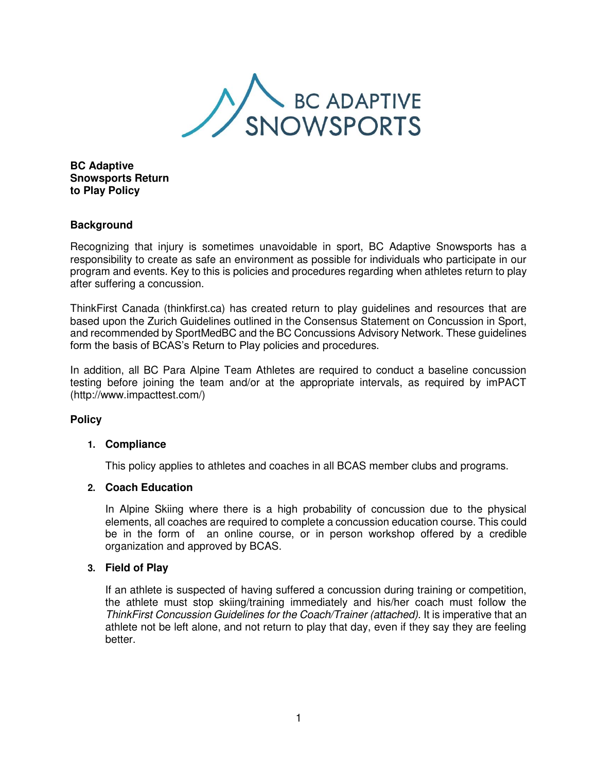

**BC Adaptive Snowsports Return to Play Policy** 

# **Background**

Recognizing that injury is sometimes unavoidable in sport, BC Adaptive Snowsports has a responsibility to create as safe an environment as possible for individuals who participate in our program and events. Key to this is policies and procedures regarding when athletes return to play after suffering a concussion.

ThinkFirst Canada (thinkfirst.ca) has created return to play guidelines and resources that are based upon the Zurich Guidelines outlined in the Consensus Statement on Concussion in Sport, and recommended by SportMedBC and the BC Concussions Advisory Network. These guidelines form the basis of BCAS's Return to Play policies and procedures.

In addition, all BC Para Alpine Team Athletes are required to conduct a baseline concussion testing before joining the team and/or at the appropriate intervals, as required by imPACT [\(http://www.impacttest.com/\)](http://www.impacttest.com/)) 

### **Policy**

### **1. Compliance**

This policy applies to athletes and coaches in all BCAS member clubs and programs.

### **2. Coach Education**

In Alpine Skiing where there is a high probability of concussion due to the physical elements, all coaches are required to complete a concussion education course. This could be in the form of an online course, or in person workshop offered by a credible organization and approved by BCAS.

### **3. Field of Play**

If an athlete is suspected of having suffered a concussion during training or competition, the athlete must stop skiing/training immediately and his/her coach must follow the *ThinkFirst Concussion Guidelines for the Coach/Trainer (attached).* It is imperative that an athlete not be left alone, and not return to play that day, even if they say they are feeling better.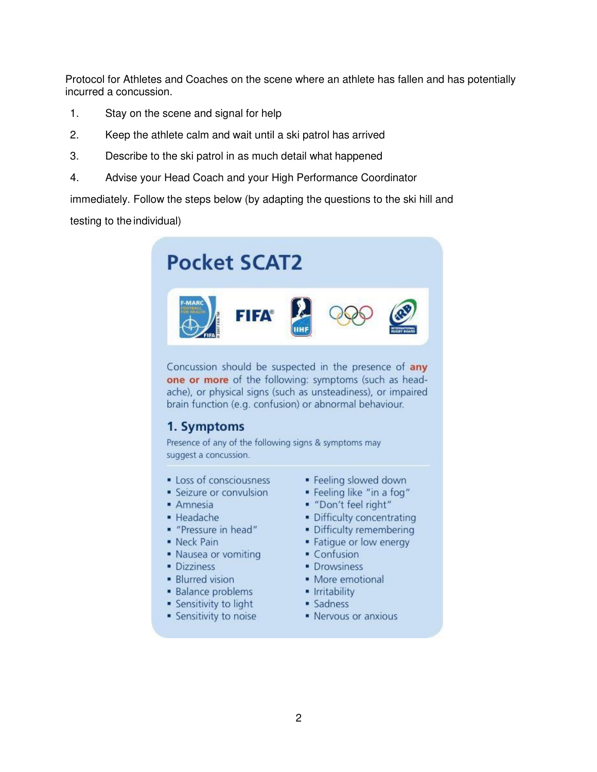Protocol for Athletes and Coaches on the scene where an athlete has fallen and has potentially incurred a concussion.

- 1. Stay on the scene and signal for help
- 2. Keep the athlete calm and wait until a ski patrol has arrived
- 3. Describe to the ski patrol in as much detail what happened
- 4. Advise your Head Coach and your High Performance Coordinator

immediately. Follow the steps below (by adapting the questions to the ski hill and

testing to the individual)



- Sensitivity to light
- Sensitivity to noise
- · Sadness • Nervous or anxious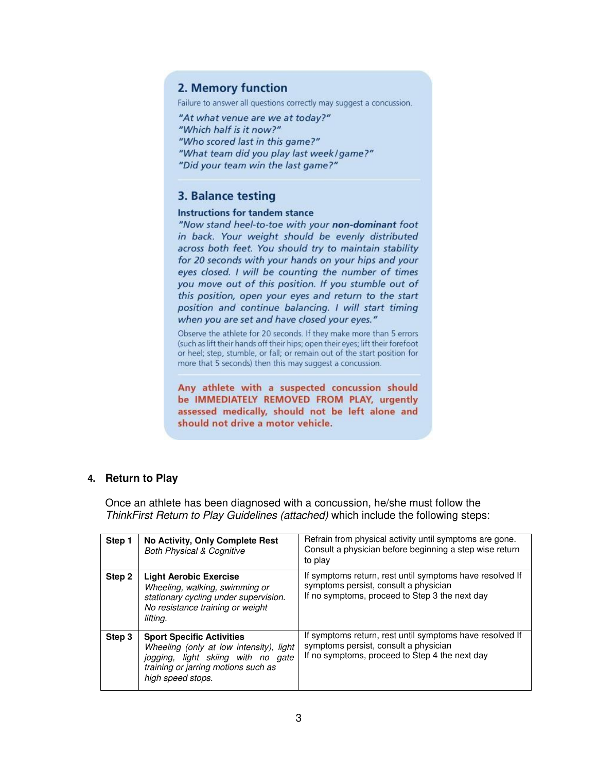# 2. Memory function

Failure to answer all questions correctly may suggest a concussion.

"At what venue are we at today?" "Which half is it now?" "Who scored last in this game?" "What team did you play last week/game?" "Did your team win the last game?"

# 3. Balance testing

#### **Instructions for tandem stance**

"Now stand heel-to-toe with your non-dominant foot in back. Your weight should be evenly distributed across both feet. You should try to maintain stability for 20 seconds with your hands on your hips and your eyes closed. I will be counting the number of times you move out of this position. If you stumble out of this position, open your eyes and return to the start position and continue balancing. I will start timing when you are set and have closed your eyes."

Observe the athlete for 20 seconds. If they make more than 5 errors (such as lift their hands off their hips; open their eyes; lift their forefoot or heel; step, stumble, or fall; or remain out of the start position for more that 5 seconds) then this may suggest a concussion.

Any athlete with a suspected concussion should be IMMEDIATELY REMOVED FROM PLAY, urgently assessed medically, should not be left alone and should not drive a motor vehicle.

### **4. Return to Play**

Once an athlete has been diagnosed with a concussion, he/she must follow the *ThinkFirst Return to Play Guidelines (attached)* which include the following steps:

| Step 1 | No Activity, Only Complete Rest<br><b>Both Physical &amp; Cognitive</b>                                                                                                       | Refrain from physical activity until symptoms are gone.<br>Consult a physician before beginning a step wise return<br>to play                       |
|--------|-------------------------------------------------------------------------------------------------------------------------------------------------------------------------------|-----------------------------------------------------------------------------------------------------------------------------------------------------|
| Step 2 | <b>Light Aerobic Exercise</b><br>Wheeling, walking, swimming or<br>stationary cycling under supervision.<br>No resistance training or weight<br>lifting.                      | If symptoms return, rest until symptoms have resolved If<br>symptoms persist, consult a physician<br>If no symptoms, proceed to Step 3 the next day |
| Step 3 | <b>Sport Specific Activities</b><br>Wheeling (only at low intensity), light<br>jogging, light skiing with no gate<br>training or jarring motions such as<br>high speed stops. | If symptoms return, rest until symptoms have resolved If<br>symptoms persist, consult a physician<br>If no symptoms, proceed to Step 4 the next day |